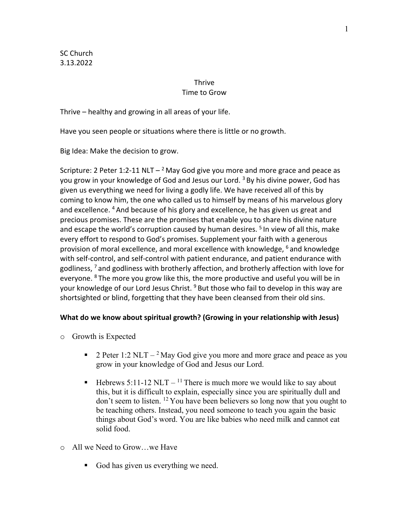SC Church 3.13.2022

# **Thrive**

## Time to Grow

Thrive – healthy and growing in all areas of your life.

Have you seen people or situations where there is little or no growth.

Big Idea: Make the decision to grow.

Scripture: 2 Peter 1:2-11 NLT  $-$ <sup>2</sup> May God give you more and more grace and peace as you grow in your knowledge of God and Jesus our Lord. <sup>3</sup> By his divine power, God has given us everything we need for living a godly life. We have received all of this by coming to know him, the one who called us to himself by means of his marvelous glory and excellence. <sup>4</sup> And because of his glory and excellence, he has given us great and precious promises. These are the promises that enable you to share his divine nature and escape the world's corruption caused by human desires.  $5$  In view of all this, make every effort to respond to God's promises. Supplement your faith with a generous provision of moral excellence, and moral excellence with knowledge, <sup>6</sup> and knowledge with self-control, and self-control with patient endurance, and patient endurance with godliness, <sup>7</sup> and godliness with brotherly affection, and brotherly affection with love for everyone. <sup>8</sup> The more you grow like this, the more productive and useful you will be in your knowledge of our Lord Jesus Christ. <sup>9</sup> But those who fail to develop in this way are shortsighted or blind, forgetting that they have been cleansed from their old sins.

## **What do we know about spiritual growth? (Growing in your relationship with Jesus)**

- o Growth is Expected
	- **•** 2 Peter 1:2 NLT <sup>2</sup> May God give you more and more grace and peace as you grow in your knowledge of God and Jesus our Lord.
	- **•** Hebrews 5:11-12 NLT <sup>11</sup> There is much more we would like to say about this, but it is difficult to explain, especially since you are spiritually dull and don't seem to listen. 12 You have been believers so long now that you ought to be teaching others. Instead, you need someone to teach you again the basic things about God's word. You are like babies who need milk and cannot eat solid food.
- o All we Need to Grow…we Have
	- God has given us everything we need.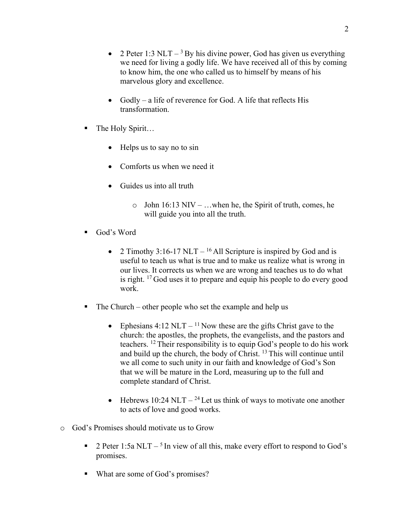- 2 Peter 1:3 NLT  $3$  By his divine power, God has given us everything we need for living a godly life. We have received all of this by coming to know him, the one who called us to himself by means of his marvelous glory and excellence.
- Godly a life of reverence for God. A life that reflects His transformation.
- The Holy Spirit...
	- Helps us to say no to sin
	- Comforts us when we need it
	- Guides us into all truth
		- o John 16:13 NIV …when he, the Spirit of truth, comes, he will guide you into all the truth.
- God's Word
	- 2 Timothy 3:16-17 NLT <sup>16</sup> All Scripture is inspired by God and is useful to teach us what is true and to make us realize what is wrong in our lives. It corrects us when we are wrong and teaches us to do what is right. 17 God uses it to prepare and equip his people to do every good work.
- The Church other people who set the example and help us
	- Ephesians 4:12 NLT <sup>11</sup> Now these are the gifts Christ gave to the church: the apostles, the prophets, the evangelists, and the pastors and teachers. 12 Their responsibility is to equip God's people to do his work and build up the church, the body of Christ. 13 This will continue until we all come to such unity in our faith and knowledge of God's Son that we will be mature in the Lord, measuring up to the full and complete standard of Christ.
	- Hebrews 10:24 NLT  $-$  <sup>24</sup> Let us think of ways to motivate one another to acts of love and good works.
- o God's Promises should motivate us to Grow
	- **•** 2 Peter 1:5a NLT <sup>5</sup> In view of all this, make every effort to respond to God's promises.
	- What are some of God's promises?